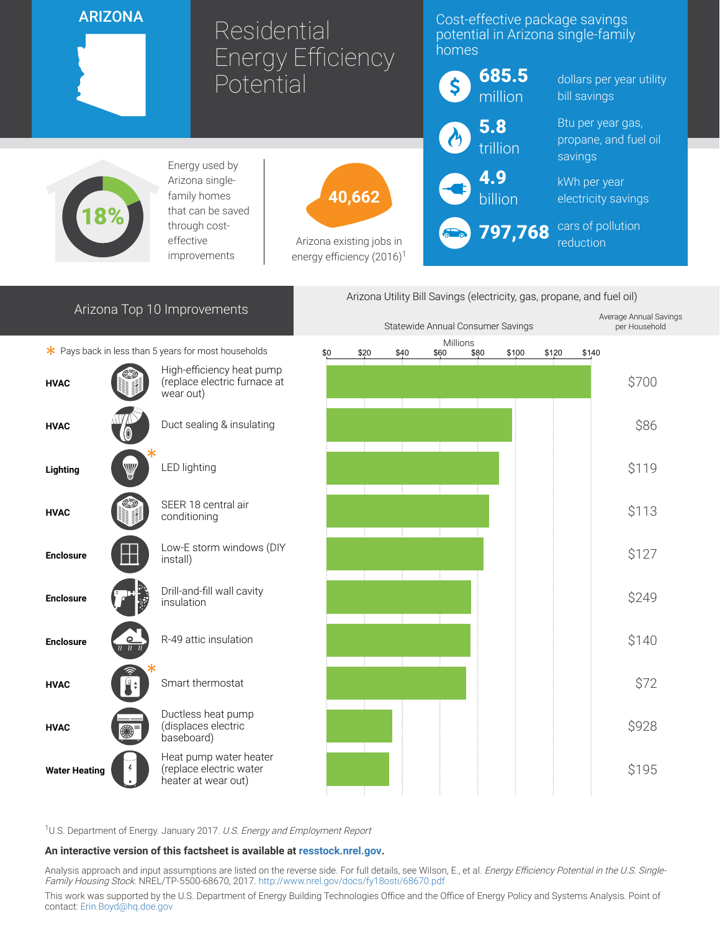## ARIZONA

18%

# Residential Energy Efficiency Potential

## Cost-effective package savings potential in Arizona single-family homes

| $  -$                                                             | $\vert$ \$          | <b>685.5</b><br>million | dollars per year utility<br>bill savings              |
|-------------------------------------------------------------------|---------------------|-------------------------|-------------------------------------------------------|
|                                                                   | $\boldsymbol{\phi}$ | 5.8<br>trillion         | Btu per year gas,<br>propane, and fuel oil<br>savings |
| 40,662                                                            | $\left( -1 \right)$ | 4.9                     | kWh per year<br>electricity savings                   |
| Arizona existing jobs in<br>energy efficiency (2016) <sup>1</sup> | 60                  | 797,768                 | cars of pollution<br>reduction                        |

Arizona Top 10 Improvements

Energy used by Arizona singlefamily homes that can be saved through costeffective improvements

Arizona Utility Bill Savings (electricity, gas, propane, and fuel oil)



<sup>1</sup>U.S. Department of Energy. January 2017. U.S. Energy and Employment Report

#### An interactive version of this factsheet is available at [resstock.nrel.gov.](https://resstock.nrel.gov/)

Analysis approach and input assumptions are listed on the reverse side. For full details, see Wilson, E., et al. Energy Efficiency Potential in the U.S. Single-Family Housing Stock. NREL/TP-5500-68670, 2017. <http://www.nrel.gov/docs/fy18osti/68670.pdf>

This work was supported by the U.S. Department of Energy Building Technologies Office and the Office of Energy Policy and Systems Analysis. Point of contact: [Erin.Boyd@hq.doe.gov](mailto:Erin.Boyd@hq.doe.gov)